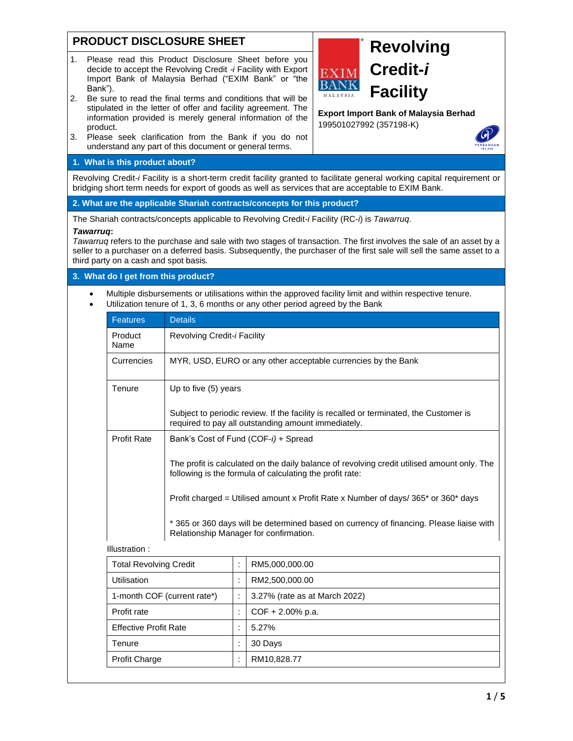## **PRODUCT DISCLOSURE SHEET**

- 1. Please read this Product Disclosure Sheet before you decide to accept the Revolving Credit *-i* Facility with Export Import Bank of Malaysia Berhad ("EXIM Bank" or "the Bank").
- 2. Be sure to read the final terms and conditions that will be stipulated in the letter of offer and facility agreement. The information provided is merely general information of the product.
- 3. Please seek clarification from the Bank if you do not understand any part of this document or general terms.

## **1. What is this product about?**

Revolving Credit*-i* Facility is a short-term credit facility granted to facilitate general working capital requirement or bridging short term needs for export of goods as well as services that are acceptable to EXIM Bank.

**2. What are the applicable Shariah contracts/concepts for this product?**

The Shariah contracts/concepts applicable to Revolving Credit*-i* Facility (RC-*i*) is *Tawarruq.*

#### *Tawarruq***:**

*Tawarruq* refers to the purchase and sale with two stages of transaction. The first involves the sale of an asset by a seller to a purchaser on a deferred basis. Subsequently, the purchaser of the first sale will sell the same asset to a third party on a cash and spot basis*.*

## **3. What do I get from this product?**

• Multiple disbursements or utilisations within the approved facility limit and within respective tenure. • Utilization tenure of 1, 3, 6 months or any other period agreed by the Bank

| <b>Features</b>               | <b>Details</b>                                                                                                                                          |                      |                               |  |  |
|-------------------------------|---------------------------------------------------------------------------------------------------------------------------------------------------------|----------------------|-------------------------------|--|--|
| Product<br>Name               | Revolving Credit-i Facility                                                                                                                             |                      |                               |  |  |
| Currencies                    | MYR, USD, EURO or any other acceptable currencies by the Bank                                                                                           |                      |                               |  |  |
| Tenure                        | Up to five (5) years                                                                                                                                    |                      |                               |  |  |
|                               | Subject to periodic review. If the facility is recalled or terminated, the Customer is<br>required to pay all outstanding amount immediately.           |                      |                               |  |  |
| Profit Rate                   | Bank's Cost of Fund (COF-i) + Spread                                                                                                                    |                      |                               |  |  |
|                               | The profit is calculated on the daily balance of revolving credit utilised amount only. The<br>following is the formula of calculating the profit rate: |                      |                               |  |  |
|                               | Profit charged = Utilised amount x Profit Rate x Number of days/365* or 360* days                                                                       |                      |                               |  |  |
|                               | * 365 or 360 days will be determined based on currency of financing. Please liaise with<br>Relationship Manager for confirmation.                       |                      |                               |  |  |
| Illustration:                 |                                                                                                                                                         |                      |                               |  |  |
| <b>Total Revolving Credit</b> |                                                                                                                                                         | $\ddot{\phantom{a}}$ | RM5,000,000.00                |  |  |
| Utilisation                   |                                                                                                                                                         | ÷                    | RM2,500,000.00                |  |  |
| 1-month COF (current rate*)   |                                                                                                                                                         | t                    | 3.27% (rate as at March 2022) |  |  |
| Profit rate                   |                                                                                                                                                         | $\ddot{\cdot}$       | $COF + 2.00\%$ p.a.           |  |  |
| <b>Effective Profit Rate</b>  |                                                                                                                                                         | ċ                    | 5.27%                         |  |  |
| Tenure                        |                                                                                                                                                         | ÷                    | 30 Days                       |  |  |
| <b>Profit Charge</b>          |                                                                                                                                                         | ÷                    | RM10,828.77                   |  |  |



# **Revolving Credit-***i* **Facility**

**Export Import Bank of Malaysia Berhad** 199501027992 (357198-K)

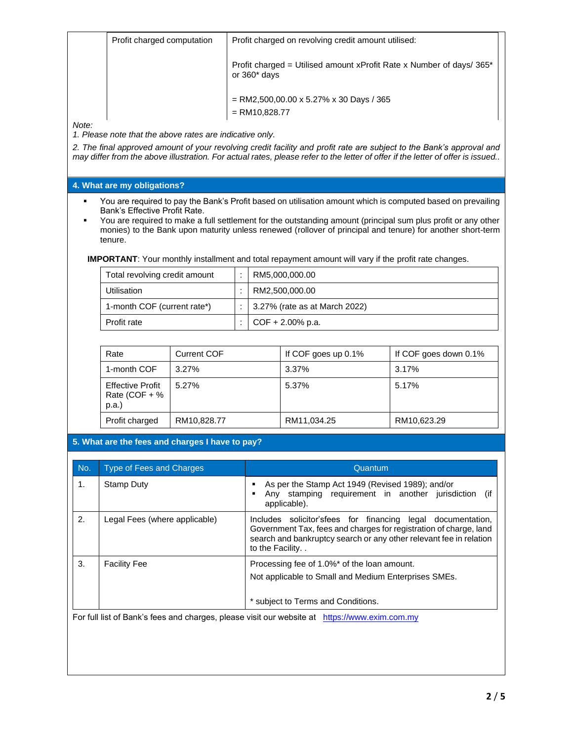|              | Profit charged computation | Profit charged on revolving credit amount utilised:                                      |
|--------------|----------------------------|------------------------------------------------------------------------------------------|
|              |                            | Profit charged = Utilised amount xProfit Rate x Number of days/ $365*$<br>or $360*$ days |
|              |                            | $=$ RM2,500,00.00 x 5.27% x 30 Days / 365<br>$=$ RM10,828.77                             |
| Note:<br>. . |                            |                                                                                          |

*1. Please note that the above rates are indicative only.*

*2. The final approved amount of your revolving credit facility and profit rate are subject to the Bank's approval and may differ from the above illustration. For actual rates, please refer to the letter of offer if the letter of offer is issued..*

## **4. What are my obligations?**

- You are required to pay the Bank's Profit based on utilisation amount which is computed based on prevailing Bank's Effective Profit Rate.
- You are required to make a full settlement for the outstanding amount (principal sum plus profit or any other monies) to the Bank upon maturity unless renewed (rollover of principal and tenure) for another short-term tenure.

**IMPORTANT**: Your monthly installment and total repayment amount will vary if the profit rate changes.

| Total revolving credit amount | RM5,000,000.00                        |
|-------------------------------|---------------------------------------|
| Utilisation                   | RM2.500.000.00                        |
| 1-month COF (current rate*)   | $\vert$ 3.27% (rate as at March 2022) |
| Profit rate                   | $COF + 2.00\%$ p.a.                   |

| Rate                                               | <b>Current COF</b> | If COF goes up 0.1% | If COF goes down 0.1% |
|----------------------------------------------------|--------------------|---------------------|-----------------------|
| 1-month COF                                        | 3.27%              | 3.37%               | 3.17%                 |
| <b>Effective Profit</b><br>Rate (COF + $%$<br>p.a. | 5.27%              | 5.37%               | 5.17%                 |
| Profit charged                                     | RM10,828.77        | RM11,034.25         | RM10,623.29           |

## **5. What are the fees and charges I have to pay?**

| Stamp Duty                    | As per the Stamp Act 1949 (Revised 1989); and/or<br>Any stamping requirement in another jurisdiction<br>(if                                                                                                               |
|-------------------------------|---------------------------------------------------------------------------------------------------------------------------------------------------------------------------------------------------------------------------|
|                               | applicable).                                                                                                                                                                                                              |
| Legal Fees (where applicable) | Includes solicitor'sfees for financing legal documentation,<br>Government Tax, fees and charges for registration of charge, land<br>search and bankruptcy search or any other relevant fee in relation<br>to the Facility |
| <b>Facility Fee</b>           | Processing fee of 1.0%* of the loan amount.<br>Not applicable to Small and Medium Enterprises SMEs.<br>* subject to Terms and Conditions.                                                                                 |
|                               |                                                                                                                                                                                                                           |

es, piease visit our website at htt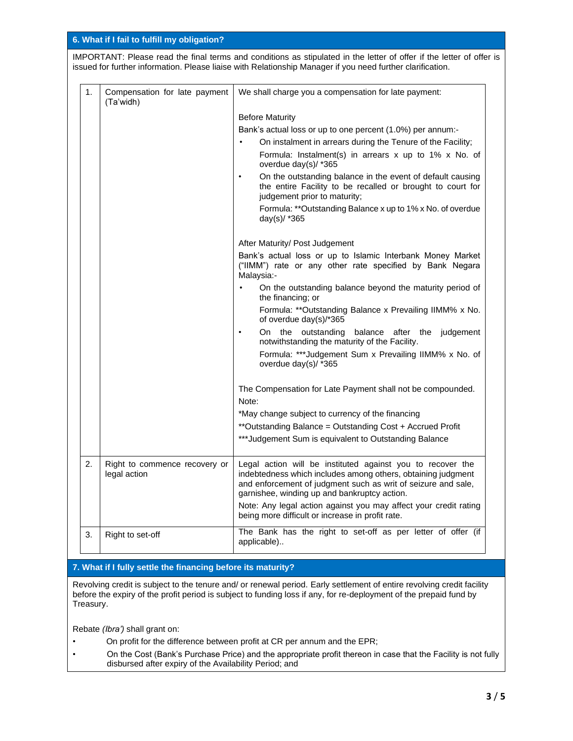|    | 6. What if I fail to fulfill my obligation?                                                                                                                                                                                        |                                                                                                                                                                                                                                             |  |  |
|----|------------------------------------------------------------------------------------------------------------------------------------------------------------------------------------------------------------------------------------|---------------------------------------------------------------------------------------------------------------------------------------------------------------------------------------------------------------------------------------------|--|--|
|    | IMPORTANT: Please read the final terms and conditions as stipulated in the letter of offer if the letter of offer is<br>issued for further information. Please liaise with Relationship Manager if you need further clarification. |                                                                                                                                                                                                                                             |  |  |
| 1. | Compensation for late payment<br>(Ta'widh)                                                                                                                                                                                         | We shall charge you a compensation for late payment:                                                                                                                                                                                        |  |  |
|    |                                                                                                                                                                                                                                    | <b>Before Maturity</b>                                                                                                                                                                                                                      |  |  |
|    |                                                                                                                                                                                                                                    | Bank's actual loss or up to one percent (1.0%) per annum:-                                                                                                                                                                                  |  |  |
|    |                                                                                                                                                                                                                                    | On instalment in arrears during the Tenure of the Facility;                                                                                                                                                                                 |  |  |
|    |                                                                                                                                                                                                                                    | Formula: Instalment(s) in arrears $x$ up to 1% $x$ No. of<br>overdue day(s)/ *365                                                                                                                                                           |  |  |
|    |                                                                                                                                                                                                                                    | On the outstanding balance in the event of default causing<br>$\bullet$<br>the entire Facility to be recalled or brought to court for<br>judgement prior to maturity;                                                                       |  |  |
|    |                                                                                                                                                                                                                                    | Formula: **Outstanding Balance x up to 1% x No. of overdue<br>day(s)/ *365                                                                                                                                                                  |  |  |
|    |                                                                                                                                                                                                                                    | After Maturity/ Post Judgement                                                                                                                                                                                                              |  |  |
|    |                                                                                                                                                                                                                                    | Bank's actual loss or up to Islamic Interbank Money Market<br>("IIMM") rate or any other rate specified by Bank Negara<br>Malaysia:-                                                                                                        |  |  |
|    |                                                                                                                                                                                                                                    | On the outstanding balance beyond the maturity period of<br>the financing; or                                                                                                                                                               |  |  |
|    |                                                                                                                                                                                                                                    | Formula: ** Outstanding Balance x Prevailing IIMM% x No.<br>of overdue day(s)/*365                                                                                                                                                          |  |  |
|    |                                                                                                                                                                                                                                    | On the outstanding<br>balance after the<br>judgement<br>$\bullet$<br>notwithstanding the maturity of the Facility.                                                                                                                          |  |  |
|    |                                                                                                                                                                                                                                    | Formula: ***Judgement Sum x Prevailing IIMM% x No. of<br>overdue day(s)/ *365                                                                                                                                                               |  |  |
|    |                                                                                                                                                                                                                                    | The Compensation for Late Payment shall not be compounded.<br>Note:                                                                                                                                                                         |  |  |
|    |                                                                                                                                                                                                                                    | *May change subject to currency of the financing                                                                                                                                                                                            |  |  |
|    |                                                                                                                                                                                                                                    | ** Outstanding Balance = Outstanding Cost + Accrued Profit                                                                                                                                                                                  |  |  |
|    |                                                                                                                                                                                                                                    | ***Judgement Sum is equivalent to Outstanding Balance                                                                                                                                                                                       |  |  |
| 2. | Right to commence recovery or<br>legal action                                                                                                                                                                                      | Legal action will be instituted against you to recover the<br>indebtedness which includes among others, obtaining judgment<br>and enforcement of judgment such as writ of seizure and sale,<br>garnishee, winding up and bankruptcy action. |  |  |
|    |                                                                                                                                                                                                                                    | Note: Any legal action against you may affect your credit rating<br>being more difficult or increase in profit rate.                                                                                                                        |  |  |
| 3. | Right to set-off                                                                                                                                                                                                                   | The Bank has the right to set-off as per letter of offer (if<br>applicable)                                                                                                                                                                 |  |  |
|    |                                                                                                                                                                                                                                    |                                                                                                                                                                                                                                             |  |  |

## **7. What if I fully settle the financing before its maturity?**

Revolving credit is subject to the tenure and/ or renewal period. Early settlement of entire revolving credit facility before the expiry of the profit period is subject to funding loss if any, for re-deployment of the prepaid fund by Treasury.

Rebate *(Ibra')* shall grant on:

- On profit for the difference between profit at CR per annum and the EPR;
- On the Cost (Bank's Purchase Price) and the appropriate profit thereon in case that the Facility is not fully disbursed after expiry of the Availability Period; and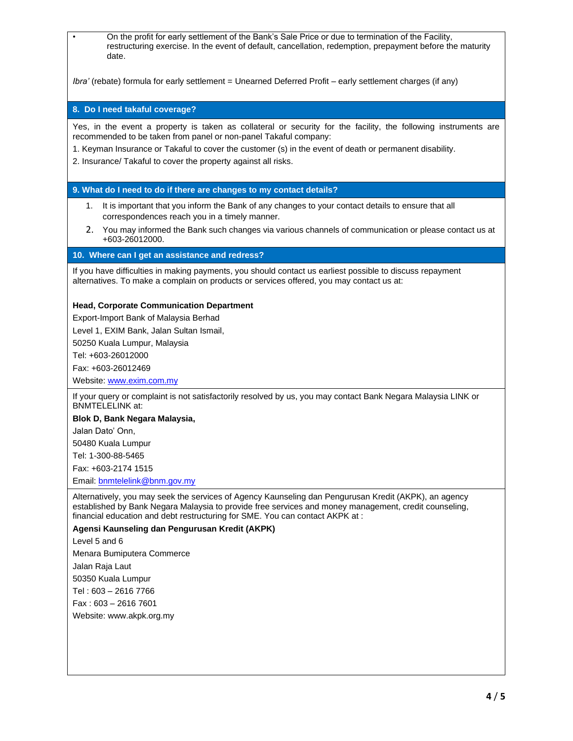• On the profit for early settlement of the Bank's Sale Price or due to termination of the Facility, restructuring exercise. In the event of default, cancellation, redemption, prepayment before the maturity date.

*Ibra'* (rebate) formula for early settlement = Unearned Deferred Profit – early settlement charges (if any)

**8. Do I need takaful coverage?**

Yes, in the event a property is taken as collateral or security for the facility, the following instruments are recommended to be taken from panel or non-panel Takaful company:

1. Keyman Insurance or Takaful to cover the customer (s) in the event of death or permanent disability.

2. Insurance/ Takaful to cover the property against all risks.

### **9. What do I need to do if there are changes to my contact details?**

- 1. It is important that you inform the Bank of any changes to your contact details to ensure that all correspondences reach you in a timely manner.
- 2. You may informed the Bank such changes via various channels of communication or please contact us at +603-26012000.

#### **10. Where can I get an assistance and redress?**

If you have difficulties in making payments, you should contact us earliest possible to discuss repayment alternatives. To make a complain on products or services offered, you may contact us at:

#### **Head, Corporate Communication Department**

Export-Import Bank of Malaysia Berhad

Level 1, EXIM Bank, Jalan Sultan Ismail,

50250 Kuala Lumpur, Malaysia

Tel: +603-26012000

Fax: +603-26012469

Website: [www.exim.com.my](http://www.exim.com.my/)

If your query or complaint is not satisfactorily resolved by us, you may contact Bank Negara Malaysia LINK or BNMTELELINK at:

## **Blok D, Bank Negara Malaysia,**

Jalan Dato' Onn,

50480 Kuala Lumpur

Tel: 1-300-88-5465

Fax: +603-2174 1515

Email: [bnmtelelink@bnm.gov.my](mailto:bnmtelelink@bnm.gov.my)

Alternatively, you may seek the services of Agency Kaunseling dan Pengurusan Kredit (AKPK), an agency established by Bank Negara Malaysia to provide free services and money management, credit counseling, financial education and debt restructuring for SME. You can contact AKPK at :

#### **Agensi Kaunseling dan Pengurusan Kredit (AKPK)**

Level 5 and 6

Menara Bumiputera Commerce

Jalan Raja Laut

50350 Kuala Lumpur

Tel : 603 – 2616 7766

Fax : 603 – 2616 7601

Website: www.akpk.org.my